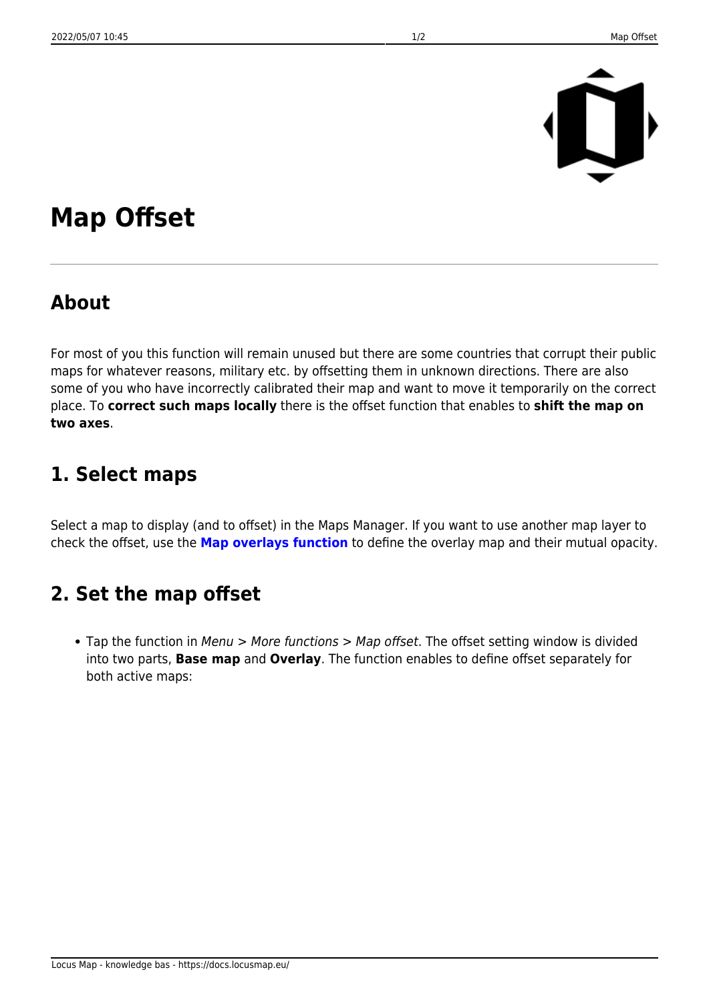

## **Map Offset**

## **About**

For most of you this function will remain unused but there are some countries that corrupt their public maps for whatever reasons, military etc. by offsetting them in unknown directions. There are also some of you who have incorrectly calibrated their map and want to move it temporarily on the correct place. To **correct such maps locally** there is the offset function that enables to **shift the map on two axes**.

## **1. Select maps**

Select a map to display (and to offset) in the Maps Manager. If you want to use another map layer to check the offset, use the **[Map overlays function](https://docs.locusmap.eu/doku.php?id=manual:user_guide:maps_tools:overlays)** to define the overlay map and their mutual opacity.

## **2. Set the map offset**

• Tap the function in Menu > More functions > Map offset. The offset setting window is divided into two parts, **Base map** and **Overlay**. The function enables to define offset separately for both active maps: